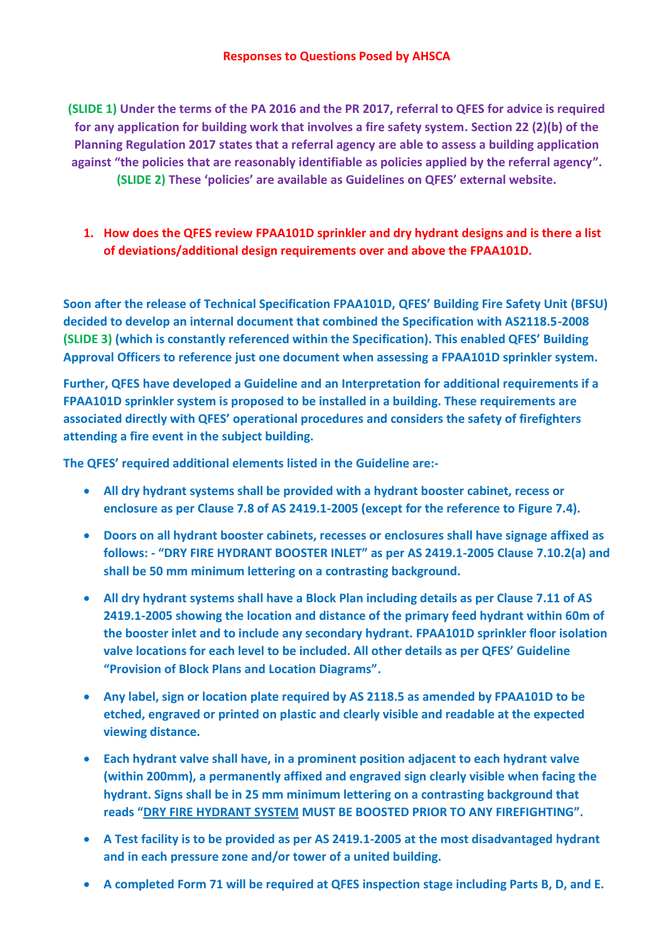**(SLIDE 1) Under the terms of the PA 2016 and the PR 2017, referral to QFES for advice is required for any application for building work that involves a fire safety system. Section 22 (2)(b) of the Planning Regulation 2017 states that a referral agency are able to assess a building application against "the policies that are reasonably identifiable as policies applied by the referral agency". (SLIDE 2) These 'policies' are available as Guidelines on QFES' external website.** 

**1. How does the QFES review FPAA101D sprinkler and dry hydrant designs and is there a list of deviations/additional design requirements over and above the FPAA101D.**

**Soon after the release of Technical Specification FPAA101D, QFES' Building Fire Safety Unit (BFSU) decided to develop an internal document that combined the Specification with AS2118.5-2008 (SLIDE 3) (which is constantly referenced within the Specification). This enabled QFES' Building Approval Officers to reference just one document when assessing a FPAA101D sprinkler system.**

**Further, QFES have developed a Guideline and an Interpretation for additional requirements if a FPAA101D sprinkler system is proposed to be installed in a building. These requirements are associated directly with QFES' operational procedures and considers the safety of firefighters attending a fire event in the subject building.**

**The QFES' required additional elements listed in the Guideline are:-**

- **All dry hydrant systems shall be provided with a hydrant booster cabinet, recess or enclosure as per Clause 7.8 of AS 2419.1-2005 (except for the reference to Figure 7.4).**
- **Doors on all hydrant booster cabinets, recesses or enclosures shall have signage affixed as follows: - "DRY FIRE HYDRANT BOOSTER INLET" as per AS 2419.1-2005 Clause 7.10.2(a) and shall be 50 mm minimum lettering on a contrasting background.**
- **All dry hydrant systems shall have a Block Plan including details as per Clause 7.11 of AS 2419.1-2005 showing the location and distance of the primary feed hydrant within 60m of the booster inlet and to include any secondary hydrant. FPAA101D sprinkler floor isolation valve locations for each level to be included. All other details as per QFES' Guideline "Provision of Block Plans and Location Diagrams".**
- **Any label, sign or location plate required by AS 2118.5 as amended by FPAA101D to be etched, engraved or printed on plastic and clearly visible and readable at the expected viewing distance.**
- **Each hydrant valve shall have, in a prominent position adjacent to each hydrant valve (within 200mm), a permanently affixed and engraved sign clearly visible when facing the hydrant. Signs shall be in 25 mm minimum lettering on a contrasting background that reads "DRY FIRE HYDRANT SYSTEM MUST BE BOOSTED PRIOR TO ANY FIREFIGHTING".**
- **A Test facility is to be provided as per AS 2419.1-2005 at the most disadvantaged hydrant and in each pressure zone and/or tower of a united building.**
- **A completed Form 71 will be required at QFES inspection stage including Parts B, D, and E.**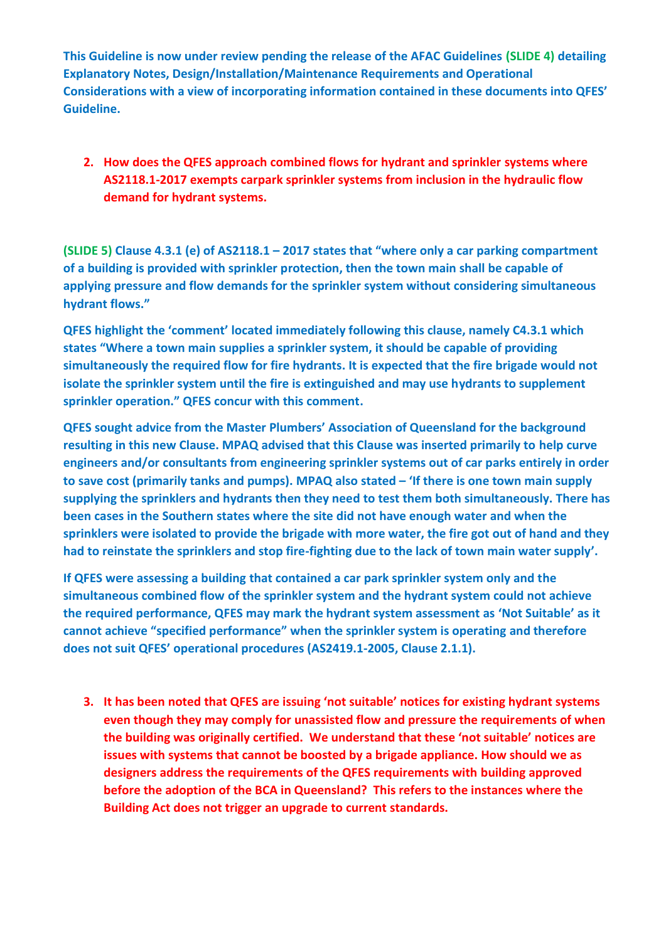**This Guideline is now under review pending the release of the AFAC Guidelines (SLIDE 4) detailing Explanatory Notes, Design/Installation/Maintenance Requirements and Operational Considerations with a view of incorporating information contained in these documents into QFES' Guideline.**

**2. How does the QFES approach combined flows for hydrant and sprinkler systems where AS2118.1-2017 exempts carpark sprinkler systems from inclusion in the hydraulic flow demand for hydrant systems.**

**(SLIDE 5) Clause 4.3.1 (e) of AS2118.1 – 2017 states that "where only a car parking compartment of a building is provided with sprinkler protection, then the town main shall be capable of applying pressure and flow demands for the sprinkler system without considering simultaneous hydrant flows."**

**QFES highlight the 'comment' located immediately following this clause, namely C4.3.1 which states "Where a town main supplies a sprinkler system, it should be capable of providing simultaneously the required flow for fire hydrants. It is expected that the fire brigade would not isolate the sprinkler system until the fire is extinguished and may use hydrants to supplement sprinkler operation." QFES concur with this comment.**

**QFES sought advice from the Master Plumbers' Association of Queensland for the background resulting in this new Clause. MPAQ advised that this Clause was inserted primarily to help curve engineers and/or consultants from engineering sprinkler systems out of car parks entirely in order to save cost (primarily tanks and pumps). MPAQ also stated – 'If there is one town main supply supplying the sprinklers and hydrants then they need to test them both simultaneously. There has been cases in the Southern states where the site did not have enough water and when the sprinklers were isolated to provide the brigade with more water, the fire got out of hand and they had to reinstate the sprinklers and stop fire-fighting due to the lack of town main water supply'.**

**If QFES were assessing a building that contained a car park sprinkler system only and the simultaneous combined flow of the sprinkler system and the hydrant system could not achieve the required performance, QFES may mark the hydrant system assessment as 'Not Suitable' as it cannot achieve "specified performance" when the sprinkler system is operating and therefore does not suit QFES' operational procedures (AS2419.1-2005, Clause 2.1.1).**

**3. It has been noted that QFES are issuing 'not suitable' notices for existing hydrant systems even though they may comply for unassisted flow and pressure the requirements of when the building was originally certified. We understand that these 'not suitable' notices are issues with systems that cannot be boosted by a brigade appliance. How should we as designers address the requirements of the QFES requirements with building approved before the adoption of the BCA in Queensland? This refers to the instances where the Building Act does not trigger an upgrade to current standards.**